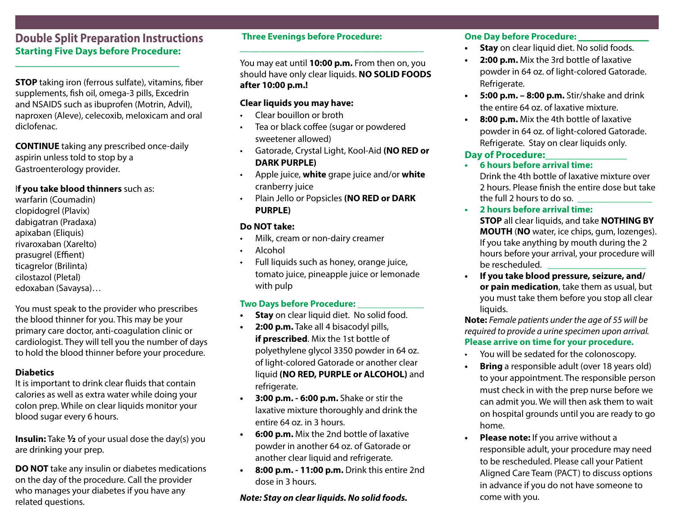#### **Double Split Preparation Instructions Starting Five Days before Procedure:**

\_\_\_\_\_\_\_\_\_\_\_\_\_\_\_\_\_\_\_\_\_\_\_\_\_\_\_\_\_\_\_\_\_\_\_

**STOP** taking iron (ferrous sulfate), vitamins, fiber supplements, fish oil, omega-3 pills, Excedrin and NSAIDS such as ibuprofen (Motrin, Advil), naproxen (Aleve), celecoxib, meloxicam and oral diclofenac.

**CONTINUE** taking any prescribed once-daily aspirin unless told to stop by a Gastroenterology provider.

#### I**f you take blood thinners** such as:

warfarin (Coumadin) clopidogrel (Plavix) dabigatran (Pradaxa) apixaban (Eliquis) rivaroxaban (Xarelto) prasugrel (Effient) ticagrelor (Brilinta) cilostazol (Pletal) edoxaban (Savaysa)…

You must speak to the provider who prescribes the blood thinner for you. This may be your primary care doctor, anti-coagulation clinic or cardiologist. They will tell you the number of days to hold the blood thinner before your procedure.

#### **Diabetics**

It is important to drink clear fluids that contain calories as well as extra water while doing your colon prep. While on clear liquids monitor your blood sugar every 6 hours.

**Insulin:** Take **½** of your usual dose the day(s) you are drinking your prep.

**DO NOT** take any insulin or diabetes medications on the day of the procedure. Call the provider who manages your diabetes if you have any related questions.

#### **Three Evenings before Procedure:**

You may eat until **10:00 p.m.** From then on, you should have only clear liquids. **NO SOLID FOODS after 10:00 p.m.!**

**\_\_\_\_\_\_\_\_\_\_\_\_\_\_\_\_\_\_\_\_\_\_\_\_\_\_\_\_\_\_\_\_\_\_\_\_**

#### **Clear liquids you may have:**

- Clear bouillon or broth
- Tea or black coffee (sugar or powdered sweetener allowed)
- Gatorade, Crystal Light, Kool-Aid **(NO RED or DARK PURPLE)**
- Apple juice, **white** grape juice and/or **white** cranberry juice
- Plain Jello or Popsicles **(NO RED or DARK PURPLE)**

#### **Do NOT take:**

- Milk, cream or non-dairy creamer
- Alcohol
- Full liquids such as honey, orange juice, tomato juice, pineapple juice or lemonade with pulp

#### **Two Days before Procedure:**

- **• Stay** on clear liquid diet. No solid food.
- **• 2:00 p.m.** Take all 4 bisacodyl pills, **if prescribed**. Mix the 1st bottle of polyethylene glycol 3350 powder in 64 oz. of light-colored Gatorade or another clear liquid **(NO RED, PURPLE or ALCOHOL)** and refrigerate.
- **• 3:00 p.m. 6:00 p.m.** Shake or stir the laxative mixture thoroughly and drink the entire 64 oz. in 3 hours.
- **• 6:00 p.m.** Mix the 2nd bottle of laxative powder in another 64 oz. of Gatorade or another clear liquid and refrigerate.
- **• 8:00 p.m. 11:00 p.m.** Drink this entire 2nd dose in 3 hours.

#### *Note: Stay on clear liquids. No solid foods.*

#### **One Day before Procedure: \_\_\_\_\_\_\_\_\_\_\_\_\_\_\_**

- **• Stay** on clear liquid diet. No solid foods.
- **• 2:00 p.m.** Mix the 3rd bottle of laxative powder in 64 oz. of light-colored Gatorade. Refrigerate.
- **• 5:00 p.m. 8:00 p.m.** Stir/shake and drink the entire 64 oz. of laxative mixture.
- **• 8:00 p.m.** Mix the 4th bottle of laxative powder in 64 oz. of light-colored Gatorade. Refrigerate. Stay on clear liquids only.

#### **Day of Procedure:\_\_\_\_\_\_\_\_\_\_\_\_\_\_\_\_**

- **• 6 hours before arrival time:**  Drink the 4th bottle of laxative mixture over 2 hours. Please finish the entire dose but take the full 2 hours to do so.
- **• 2 hours before arrival time:** 
	- **STOP** all clear liquids, and take **NOTHING BY MOUTH** (**NO** water, ice chips, gum, lozenges). If you take anything by mouth during the 2 hours before your arrival, your procedure will be rescheduled.
- **• If you take blood pressure, seizure, and/ or pain medication**, take them as usual, but you must take them before you stop all clear liquids.

**Note:** *Female patients under the age of 55 will be required to provide a urine specimen upon arrival.* **Please arrive on time for your procedure.**

- You will be sedated for the colonoscopy.
- **Bring** a responsible adult (over 18 years old) to your appointment. The responsible person must check in with the prep nurse before we can admit you. We will then ask them to wait on hospital grounds until you are ready to go home.
- **• Please note:** If you arrive without a responsible adult, your procedure may need to be rescheduled. Please call your Patient Aligned Care Team (PACT) to discuss options in advance if you do not have someone to come with you.